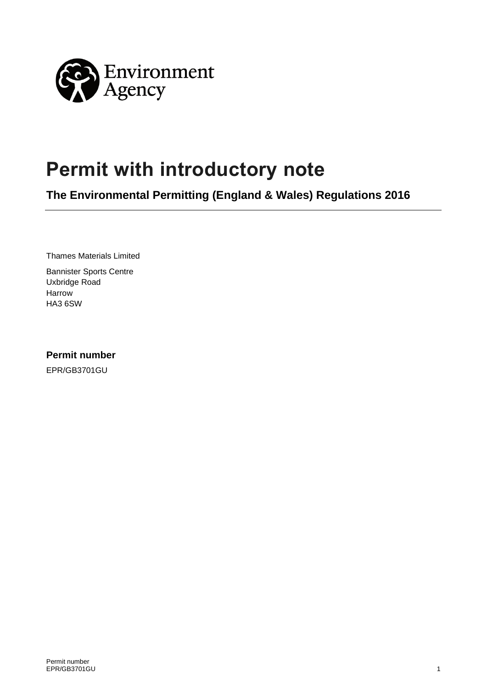

# **Permit with introductory note**

**The Environmental Permitting (England & Wales) Regulations 2016**

Thames Materials Limited

Bannister Sports Centre Uxbridge Road Harrow HA3 6SW

**Permit number**

EPR/GB3701GU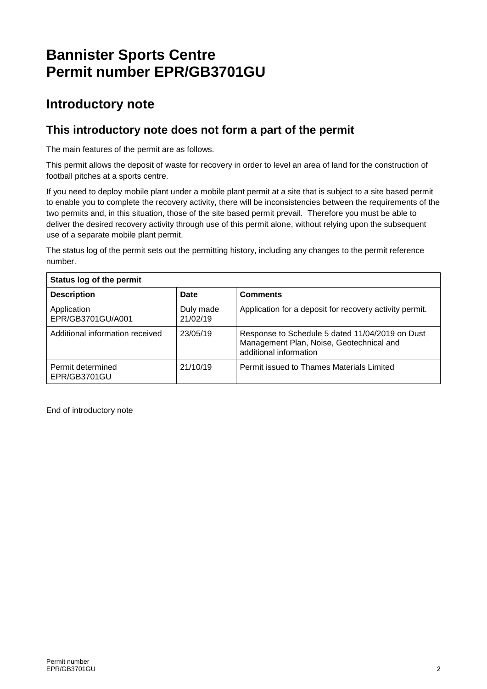## **Bannister Sports Centre Permit number EPR/GB3701GU**

### **Introductory note**

### **This introductory note does not form a part of the permit**

The main features of the permit are as follows.

This permit allows the deposit of waste for recovery in order to level an area of land for the construction of football pitches at a sports centre.

If you need to deploy mobile plant under a mobile plant permit at a site that is subject to a site based permit to enable you to complete the recovery activity, there will be inconsistencies between the requirements of the two permits and, in this situation, those of the site based permit prevail. Therefore you must be able to deliver the desired recovery activity through use of this permit alone, without relying upon the subsequent use of a separate mobile plant permit.

The status log of the permit sets out the permitting history, including any changes to the permit reference number.

| Status log of the permit          |                       |                                                                                                                       |  |
|-----------------------------------|-----------------------|-----------------------------------------------------------------------------------------------------------------------|--|
| <b>Description</b>                | Date                  | <b>Comments</b>                                                                                                       |  |
| Application<br>EPR/GB3701GU/A001  | Duly made<br>21/02/19 | Application for a deposit for recovery activity permit.                                                               |  |
| Additional information received   | 23/05/19              | Response to Schedule 5 dated 11/04/2019 on Dust<br>Management Plan, Noise, Geotechnical and<br>additional information |  |
| Permit determined<br>EPR/GB3701GU | 21/10/19              | Permit issued to Thames Materials Limited                                                                             |  |

End of introductory note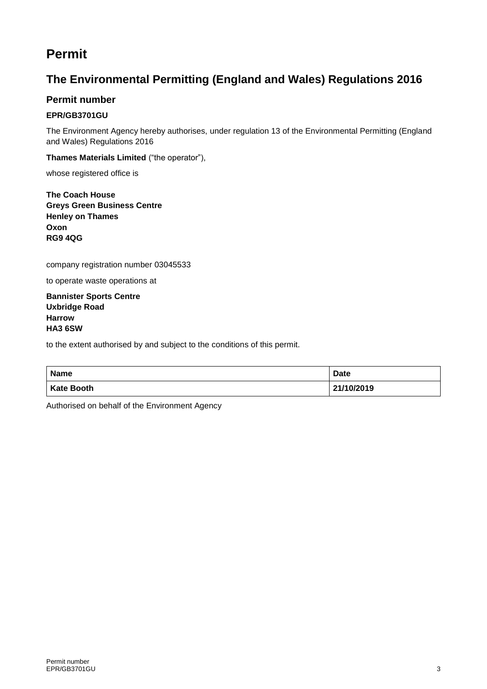### **Permit**

### **The Environmental Permitting (England and Wales) Regulations 2016**

#### **Permit number**

#### **EPR/GB3701GU**

The Environment Agency hereby authorises, under regulation 13 of the Environmental Permitting (England and Wales) Regulations 2016

**Thames Materials Limited** ("the operator"),

whose registered office is

**The Coach House Greys Green Business Centre Henley on Thames Oxon RG9 4QG**

company registration number 03045533

to operate waste operations at

**Bannister Sports Centre Uxbridge Road Harrow HA3 6SW**

to the extent authorised by and subject to the conditions of this permit.

| Name              | <b>Date</b> |
|-------------------|-------------|
| <b>Kate Booth</b> | 21/10/2019  |

Authorised on behalf of the Environment Agency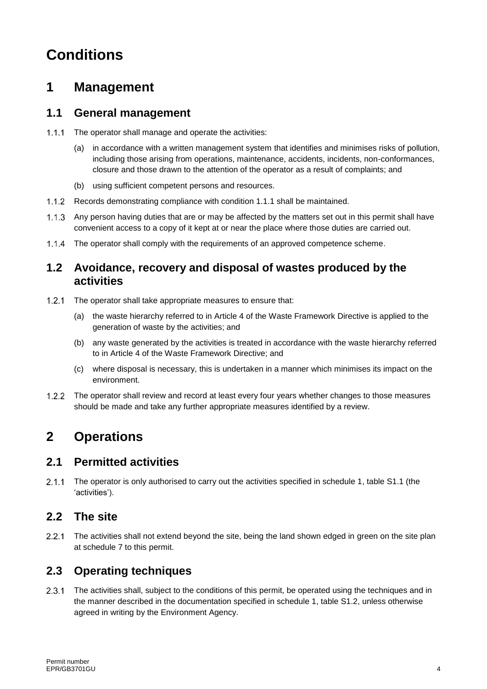## **Conditions**

### **1 Management**

#### **1.1 General management**

- $1.1.1$ The operator shall manage and operate the activities:
	- (a) in accordance with a written management system that identifies and minimises risks of pollution, including those arising from operations, maintenance, accidents, incidents, non-conformances, closure and those drawn to the attention of the operator as a result of complaints; and
	- (b) using sufficient competent persons and resources.
- 1.1.2 Records demonstrating compliance with condition 1.1.1 shall be maintained.
- Any person having duties that are or may be affected by the matters set out in this permit shall have convenient access to a copy of it kept at or near the place where those duties are carried out.
- The operator shall comply with the requirements of an approved competence scheme.

#### **1.2 Avoidance, recovery and disposal of wastes produced by the activities**

- The operator shall take appropriate measures to ensure that:  $1.2.1$ 
	- (a) the waste hierarchy referred to in Article 4 of the Waste Framework Directive is applied to the generation of waste by the activities; and
	- (b) any waste generated by the activities is treated in accordance with the waste hierarchy referred to in Article 4 of the Waste Framework Directive; and
	- (c) where disposal is necessary, this is undertaken in a manner which minimises its impact on the environment.
- $1.2.2$ The operator shall review and record at least every four years whether changes to those measures should be made and take any further appropriate measures identified by a review.

## **2 Operations**

#### **2.1 Permitted activities**

 $2.1.1$ The operator is only authorised to carry out the activities specified in schedule 1, table S1.1 (the 'activities').

#### **2.2 The site**

 $221$ The activities shall not extend beyond the site, being the land shown edged in green on the site plan at schedule 7 to this permit.

### **2.3 Operating techniques**

 $2.3.1$ The activities shall, subject to the conditions of this permit, be operated using the techniques and in the manner described in the documentation specified in schedule 1, table S1.2, unless otherwise agreed in writing by the Environment Agency.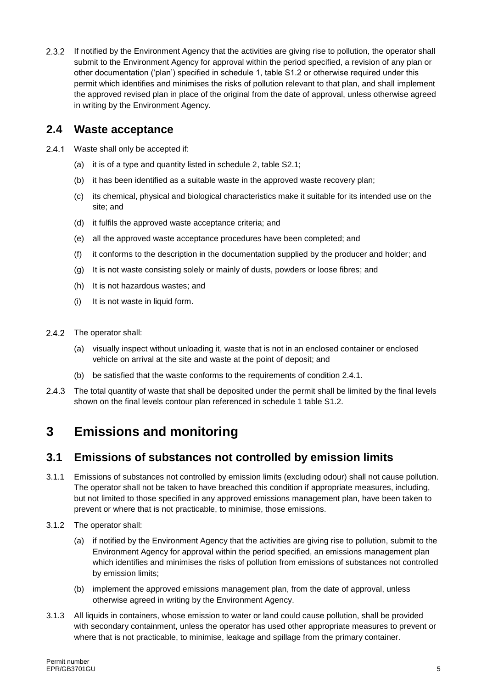2.3.2 If notified by the Environment Agency that the activities are giving rise to pollution, the operator shall submit to the Environment Agency for approval within the period specified, a revision of any plan or other documentation ('plan') specified in schedule 1, table S1.2 or otherwise required under this permit which identifies and minimises the risks of pollution relevant to that plan, and shall implement the approved revised plan in place of the original from the date of approval, unless otherwise agreed in writing by the Environment Agency.

#### **2.4 Waste acceptance**

- $241$ Waste shall only be accepted if:
	- (a) it is of a type and quantity listed in schedule 2, table S2.1;
	- (b) it has been identified as a suitable waste in the approved waste recovery plan;
	- (c) its chemical, physical and biological characteristics make it suitable for its intended use on the site; and
	- (d) it fulfils the approved waste acceptance criteria; and
	- (e) all the approved waste acceptance procedures have been completed; and
	- (f) it conforms to the description in the documentation supplied by the producer and holder; and
	- (g) It is not waste consisting solely or mainly of dusts, powders or loose fibres; and
	- (h) It is not hazardous wastes; and
	- (i) It is not waste in liquid form.
- $2.4.2$ The operator shall:
	- (a) visually inspect without unloading it, waste that is not in an enclosed container or enclosed vehicle on arrival at the site and waste at the point of deposit; and
	- (b) be satisfied that the waste conforms to the requirements of condition 2.4.1.
- 243 The total quantity of waste that shall be deposited under the permit shall be limited by the final levels shown on the final levels contour plan referenced in schedule 1 table S1.2.

## **3 Emissions and monitoring**

#### **3.1 Emissions of substances not controlled by emission limits**

- 3.1.1 Emissions of substances not controlled by emission limits (excluding odour) shall not cause pollution. The operator shall not be taken to have breached this condition if appropriate measures, including, but not limited to those specified in any approved emissions management plan, have been taken to prevent or where that is not practicable, to minimise, those emissions.
- 3.1.2 The operator shall:
	- (a) if notified by the Environment Agency that the activities are giving rise to pollution, submit to the Environment Agency for approval within the period specified, an emissions management plan which identifies and minimises the risks of pollution from emissions of substances not controlled by emission limits;
	- (b) implement the approved emissions management plan, from the date of approval, unless otherwise agreed in writing by the Environment Agency.
- 3.1.3 All liquids in containers, whose emission to water or land could cause pollution, shall be provided with secondary containment, unless the operator has used other appropriate measures to prevent or where that is not practicable, to minimise, leakage and spillage from the primary container.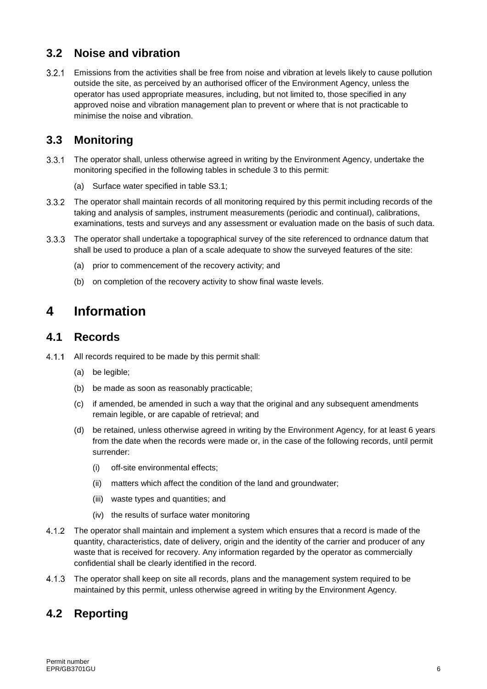### **3.2 Noise and vibration**

Emissions from the activities shall be free from noise and vibration at levels likely to cause pollution outside the site, as perceived by an authorised officer of the Environment Agency, unless the operator has used appropriate measures, including, but not limited to, those specified in any approved noise and vibration management plan to prevent or where that is not practicable to minimise the noise and vibration.

### **3.3 Monitoring**

- $3.3.1$ The operator shall, unless otherwise agreed in writing by the Environment Agency, undertake the monitoring specified in the following tables in schedule 3 to this permit:
	- (a) Surface water specified in table S3.1;
- $3.3.2$ The operator shall maintain records of all monitoring required by this permit including records of the taking and analysis of samples, instrument measurements (periodic and continual), calibrations, examinations, tests and surveys and any assessment or evaluation made on the basis of such data.
- The operator shall undertake a topographical survey of the site referenced to ordnance datum that  $3.3.3$ shall be used to produce a plan of a scale adequate to show the surveyed features of the site:
	- (a) prior to commencement of the recovery activity; and
	- (b) on completion of the recovery activity to show final waste levels.

### **4 Information**

#### **4.1 Records**

- $4.1.1$ All records required to be made by this permit shall:
	- (a) be legible:
	- (b) be made as soon as reasonably practicable;
	- (c) if amended, be amended in such a way that the original and any subsequent amendments remain legible, or are capable of retrieval; and
	- (d) be retained, unless otherwise agreed in writing by the Environment Agency, for at least 6 years from the date when the records were made or, in the case of the following records, until permit surrender:
		- (i) off-site environmental effects;
		- (ii) matters which affect the condition of the land and groundwater;
		- (iii) waste types and quantities; and
		- (iv) the results of surface water monitoring
- The operator shall maintain and implement a system which ensures that a record is made of the quantity, characteristics, date of delivery, origin and the identity of the carrier and producer of any waste that is received for recovery. Any information regarded by the operator as commercially confidential shall be clearly identified in the record.
- $4.1.3$ The operator shall keep on site all records, plans and the management system required to be maintained by this permit, unless otherwise agreed in writing by the Environment Agency.

### **4.2 Reporting**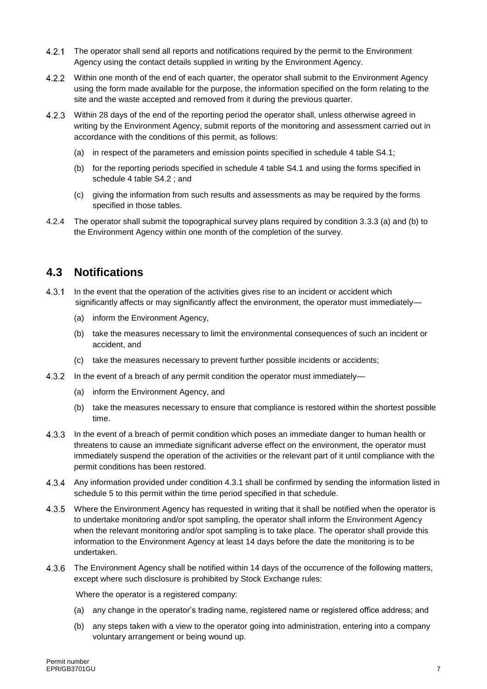- 4.2.1 The operator shall send all reports and notifications required by the permit to the Environment Agency using the contact details supplied in writing by the Environment Agency.
- $4.2.2$ Within one month of the end of each quarter, the operator shall submit to the Environment Agency using the form made available for the purpose, the information specified on the form relating to the site and the waste accepted and removed from it during the previous quarter.
- Within 28 days of the end of the reporting period the operator shall, unless otherwise agreed in writing by the Environment Agency, submit reports of the monitoring and assessment carried out in accordance with the conditions of this permit, as follows:
	- (a) in respect of the parameters and emission points specified in schedule 4 table S4.1;
	- (b) for the reporting periods specified in schedule 4 table S4.1 and using the forms specified in schedule 4 table S4.2 ; and
	- (c) giving the information from such results and assessments as may be required by the forms specified in those tables.
- 4.2.4 The operator shall submit the topographical survey plans required by condition 3.3.3 (a) and (b) to the Environment Agency within one month of the completion of the survey.

#### **4.3 Notifications**

- $4.3.1$ In the event that the operation of the activities gives rise to an incident or accident which significantly affects or may significantly affect the environment, the operator must immediately—
	- (a) inform the Environment Agency,
	- (b) take the measures necessary to limit the environmental consequences of such an incident or accident, and
	- (c) take the measures necessary to prevent further possible incidents or accidents;
- 4.3.2 In the event of a breach of any permit condition the operator must immediately—
	- (a) inform the Environment Agency, and
	- (b) take the measures necessary to ensure that compliance is restored within the shortest possible time.
- $4.3.3$ In the event of a breach of permit condition which poses an immediate danger to human health or threatens to cause an immediate significant adverse effect on the environment, the operator must immediately suspend the operation of the activities or the relevant part of it until compliance with the permit conditions has been restored.
- Any information provided under condition 4.3.1 shall be confirmed by sending the information listed in schedule 5 to this permit within the time period specified in that schedule.
- $4.3.5$ Where the Environment Agency has requested in writing that it shall be notified when the operator is to undertake monitoring and/or spot sampling, the operator shall inform the Environment Agency when the relevant monitoring and/or spot sampling is to take place. The operator shall provide this information to the Environment Agency at least 14 days before the date the monitoring is to be undertaken.
- 4.3.6 The Environment Agency shall be notified within 14 days of the occurrence of the following matters, except where such disclosure is prohibited by Stock Exchange rules:

Where the operator is a registered company:

- (a) any change in the operator's trading name, registered name or registered office address; and
- (b) any steps taken with a view to the operator going into administration, entering into a company voluntary arrangement or being wound up.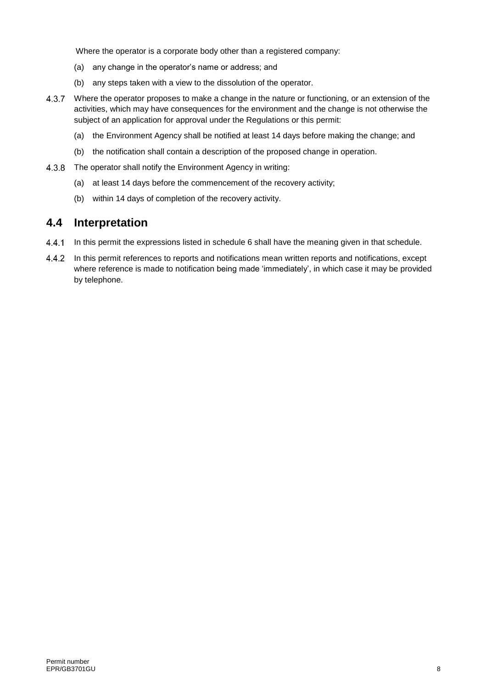Where the operator is a corporate body other than a registered company:

- (a) any change in the operator's name or address; and
- (b) any steps taken with a view to the dissolution of the operator.
- 4.3.7 Where the operator proposes to make a change in the nature or functioning, or an extension of the activities, which may have consequences for the environment and the change is not otherwise the subject of an application for approval under the Regulations or this permit:
	- (a) the Environment Agency shall be notified at least 14 days before making the change; and
	- (b) the notification shall contain a description of the proposed change in operation.
- 4.3.8 The operator shall notify the Environment Agency in writing:
	- (a) at least 14 days before the commencement of the recovery activity;
	- (b) within 14 days of completion of the recovery activity.

#### **4.4 Interpretation**

- $4.4.1$ In this permit the expressions listed in schedule 6 shall have the meaning given in that schedule.
- In this permit references to reports and notifications mean written reports and notifications, except 4.4.2 where reference is made to notification being made 'immediately', in which case it may be provided by telephone.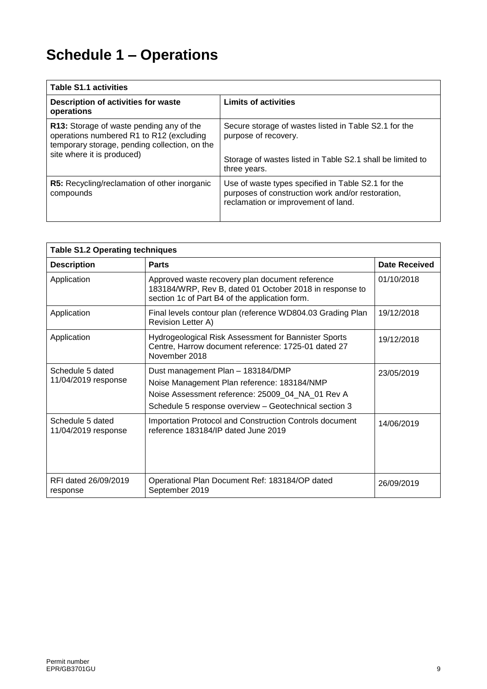# **Schedule 1 – Operations**

| <b>Table S1.1 activities</b>                                                                                                                                        |                                                                                                                                                             |  |  |
|---------------------------------------------------------------------------------------------------------------------------------------------------------------------|-------------------------------------------------------------------------------------------------------------------------------------------------------------|--|--|
| Description of activities for waste<br>operations                                                                                                                   | <b>Limits of activities</b>                                                                                                                                 |  |  |
| R13: Storage of waste pending any of the<br>operations numbered R1 to R12 (excluding<br>temporary storage, pending collection, on the<br>site where it is produced) | Secure storage of wastes listed in Table S2.1 for the<br>purpose of recovery.<br>Storage of wastes listed in Table S2.1 shall be limited to<br>three years. |  |  |
| <b>R5:</b> Recycling/reclamation of other inorganic<br>compounds                                                                                                    | Use of waste types specified in Table S2.1 for the<br>purposes of construction work and/or restoration,<br>reclamation or improvement of land.              |  |  |

| <b>Table S1.2 Operating techniques</b>  |                                                                                                                                                                                               |               |  |
|-----------------------------------------|-----------------------------------------------------------------------------------------------------------------------------------------------------------------------------------------------|---------------|--|
| <b>Description</b>                      | <b>Parts</b>                                                                                                                                                                                  | Date Received |  |
| Application                             | Approved waste recovery plan document reference<br>183184/WRP, Rev B, dated 01 October 2018 in response to<br>section 1c of Part B4 of the application form.                                  | 01/10/2018    |  |
| Application                             | Final levels contour plan (reference WD804.03 Grading Plan<br>Revision Letter A)                                                                                                              | 19/12/2018    |  |
| Application                             | Hydrogeological Risk Assessment for Bannister Sports<br>Centre, Harrow document reference: 1725-01 dated 27<br>November 2018                                                                  | 19/12/2018    |  |
| Schedule 5 dated<br>11/04/2019 response | Dust management Plan - 183184/DMP<br>Noise Management Plan reference: 183184/NMP<br>Noise Assessment reference: 25009_04_NA_01 Rev A<br>Schedule 5 response overview - Geotechnical section 3 | 23/05/2019    |  |
| Schedule 5 dated<br>11/04/2019 response | Importation Protocol and Construction Controls document<br>reference 183184/IP dated June 2019                                                                                                | 14/06/2019    |  |
| RFI dated 26/09/2019<br>response        | Operational Plan Document Ref: 183184/OP dated<br>September 2019                                                                                                                              | 26/09/2019    |  |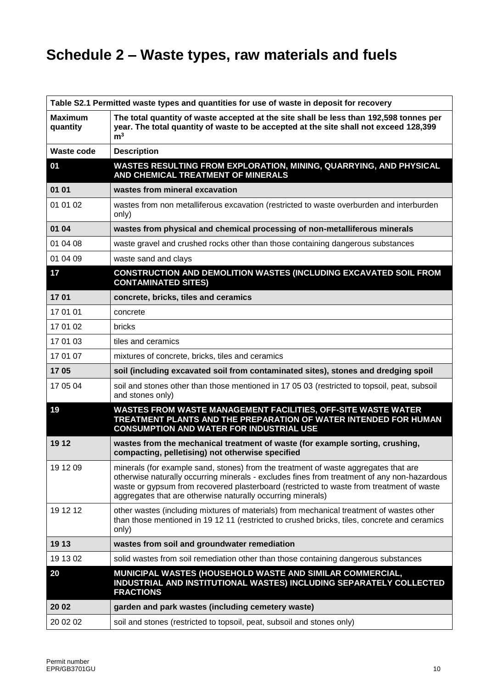# **Schedule 2 – Waste types, raw materials and fuels**

|                            | Table S2.1 Permitted waste types and quantities for use of waste in deposit for recovery                                                                                                                                                                                                                                                      |
|----------------------------|-----------------------------------------------------------------------------------------------------------------------------------------------------------------------------------------------------------------------------------------------------------------------------------------------------------------------------------------------|
| <b>Maximum</b><br>quantity | The total quantity of waste accepted at the site shall be less than 192,598 tonnes per<br>year. The total quantity of waste to be accepted at the site shall not exceed 128,399<br>m <sup>3</sup>                                                                                                                                             |
| Waste code                 | <b>Description</b>                                                                                                                                                                                                                                                                                                                            |
| 01                         | WASTES RESULTING FROM EXPLORATION, MINING, QUARRYING, AND PHYSICAL<br>AND CHEMICAL TREATMENT OF MINERALS                                                                                                                                                                                                                                      |
| 01 01                      | wastes from mineral excavation                                                                                                                                                                                                                                                                                                                |
| 01 01 02                   | wastes from non metalliferous excavation (restricted to waste overburden and interburden<br>only)                                                                                                                                                                                                                                             |
| 01 04                      | wastes from physical and chemical processing of non-metalliferous minerals                                                                                                                                                                                                                                                                    |
| 01 04 08                   | waste gravel and crushed rocks other than those containing dangerous substances                                                                                                                                                                                                                                                               |
| 01 04 09                   | waste sand and clays                                                                                                                                                                                                                                                                                                                          |
| 17                         | CONSTRUCTION AND DEMOLITION WASTES (INCLUDING EXCAVATED SOIL FROM<br><b>CONTAMINATED SITES)</b>                                                                                                                                                                                                                                               |
| 1701                       | concrete, bricks, tiles and ceramics                                                                                                                                                                                                                                                                                                          |
| 17 01 01                   | concrete                                                                                                                                                                                                                                                                                                                                      |
| 17 01 02                   | bricks                                                                                                                                                                                                                                                                                                                                        |
| 17 01 03                   | tiles and ceramics                                                                                                                                                                                                                                                                                                                            |
| 17 01 07                   | mixtures of concrete, bricks, tiles and ceramics                                                                                                                                                                                                                                                                                              |
| 1705                       | soil (including excavated soil from contaminated sites), stones and dredging spoil                                                                                                                                                                                                                                                            |
| 17 05 04                   | soil and stones other than those mentioned in 17 05 03 (restricted to topsoil, peat, subsoil<br>and stones only)                                                                                                                                                                                                                              |
| 19                         | WASTES FROM WASTE MANAGEMENT FACILITIES, OFF-SITE WASTE WATER<br>TREATMENT PLANTS AND THE PREPARATION OF WATER INTENDED FOR HUMAN<br><b>CONSUMPTION AND WATER FOR INDUSTRIAL USE</b>                                                                                                                                                          |
| 19 12                      | wastes from the mechanical treatment of waste (for example sorting, crushing,<br>compacting, pelletising) not otherwise specified                                                                                                                                                                                                             |
| 19 12 09                   | minerals (for example sand, stones) from the treatment of waste aggregates that are<br>otherwise naturally occurring minerals - excludes fines from treatment of any non-hazardous<br>waste or gypsum from recovered plasterboard (restricted to waste from treatment of waste<br>aggregates that are otherwise naturally occurring minerals) |
| 19 12 12                   | other wastes (including mixtures of materials) from mechanical treatment of wastes other<br>than those mentioned in 19 12 11 (restricted to crushed bricks, tiles, concrete and ceramics<br>only)                                                                                                                                             |
| 19 13                      | wastes from soil and groundwater remediation                                                                                                                                                                                                                                                                                                  |
| 19 13 02                   | solid wastes from soil remediation other than those containing dangerous substances                                                                                                                                                                                                                                                           |
| 20                         | MUNICIPAL WASTES (HOUSEHOLD WASTE AND SIMILAR COMMERCIAL,<br>INDUSTRIAL AND INSTITUTIONAL WASTES) INCLUDING SEPARATELY COLLECTED<br><b>FRACTIONS</b>                                                                                                                                                                                          |
| 20 02                      | garden and park wastes (including cemetery waste)                                                                                                                                                                                                                                                                                             |
| 20 02 02                   | soil and stones (restricted to topsoil, peat, subsoil and stones only)                                                                                                                                                                                                                                                                        |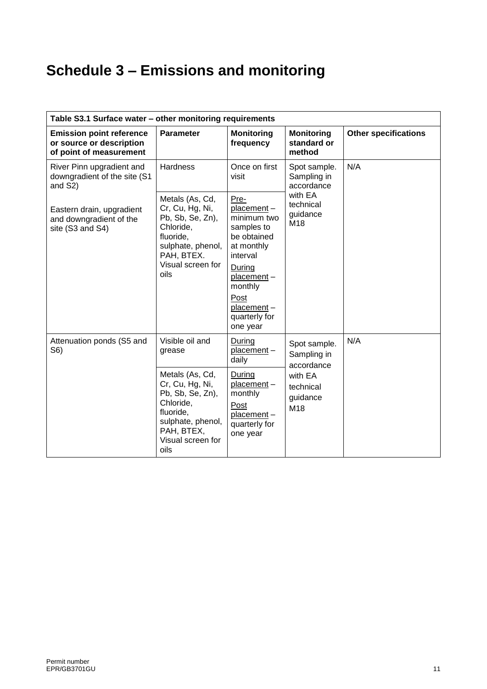# **Schedule 3 – Emissions and monitoring**

| Table S3.1 Surface water - other monitoring requirements                               |                                                                                                                                                  |                                                                                                                                                                                |                                            |                             |
|----------------------------------------------------------------------------------------|--------------------------------------------------------------------------------------------------------------------------------------------------|--------------------------------------------------------------------------------------------------------------------------------------------------------------------------------|--------------------------------------------|-----------------------------|
| <b>Emission point reference</b><br>or source or description<br>of point of measurement | <b>Parameter</b>                                                                                                                                 | <b>Monitoring</b><br>frequency                                                                                                                                                 | <b>Monitoring</b><br>standard or<br>method | <b>Other specifications</b> |
| River Pinn upgradient and<br>downgradient of the site (S1<br>and S2)                   | <b>Hardness</b>                                                                                                                                  | Once on first<br>visit                                                                                                                                                         | Spot sample.<br>Sampling in<br>accordance  | N/A                         |
| Eastern drain, upgradient<br>and downgradient of the<br>site (S3 and S4)               | Metals (As, Cd,<br>Cr, Cu, Hg, Ni,<br>Pb, Sb, Se, Zn),<br>Chloride,<br>fluoride,<br>sulphate, phenol,<br>PAH, BTEX.<br>Visual screen for<br>oils | Pre-<br>placement-<br>minimum two<br>samples to<br>be obtained<br>at monthly<br>interval<br>During<br>placement-<br>monthly<br>Post<br>placement-<br>quarterly for<br>one year | with EA<br>technical<br>guidance<br>M18    |                             |
| Attenuation ponds (S5 and<br>S6)                                                       | Visible oil and<br>grease                                                                                                                        | During<br>placement-<br>daily                                                                                                                                                  | Spot sample.<br>Sampling in<br>accordance  | N/A                         |
|                                                                                        | Metals (As, Cd,<br>Cr, Cu, Hg, Ni,<br>Pb, Sb, Se, Zn),<br>Chloride,<br>fluoride,<br>sulphate, phenol,<br>PAH, BTEX,<br>Visual screen for<br>oils | During<br>placement-<br>monthly<br>Post<br>placement-<br>quarterly for<br>one year                                                                                             | with EA<br>technical<br>guidance<br>M18    |                             |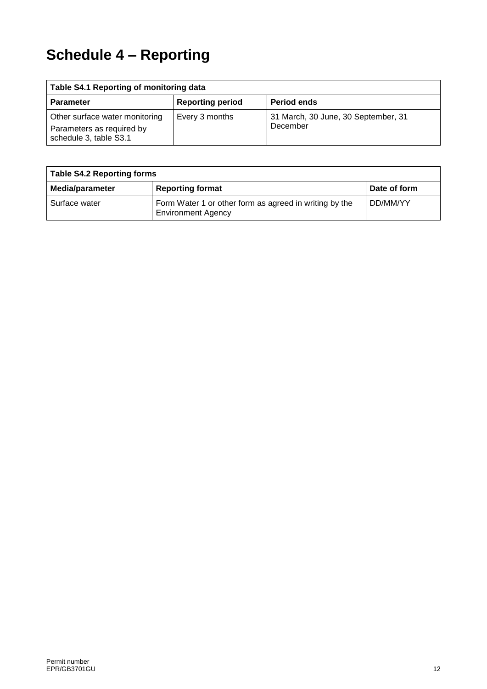# **Schedule 4 – Reporting**

| Table S4.1 Reporting of monitoring data                                               |                         |                                                 |  |
|---------------------------------------------------------------------------------------|-------------------------|-------------------------------------------------|--|
| <b>Parameter</b>                                                                      | <b>Reporting period</b> | <b>Period ends</b>                              |  |
| Other surface water monitoring<br>Parameters as required by<br>schedule 3, table S3.1 | Every 3 months          | 31 March, 30 June, 30 September, 31<br>December |  |

| <b>Table S4.2 Reporting forms</b> |                                                                                     |              |  |
|-----------------------------------|-------------------------------------------------------------------------------------|--------------|--|
| Media/parameter                   | <b>Reporting format</b>                                                             | Date of form |  |
| Surface water                     | Form Water 1 or other form as agreed in writing by the<br><b>Environment Agency</b> | DD/MM/YY     |  |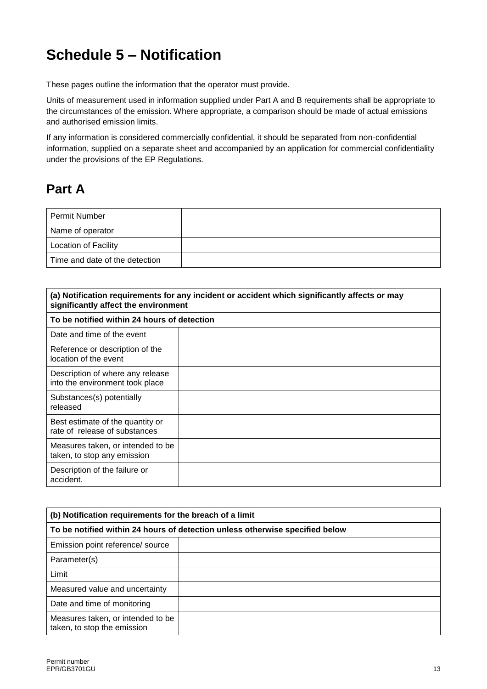## **Schedule 5 – Notification**

These pages outline the information that the operator must provide.

Units of measurement used in information supplied under Part A and B requirements shall be appropriate to the circumstances of the emission. Where appropriate, a comparison should be made of actual emissions and authorised emission limits.

If any information is considered commercially confidential, it should be separated from non-confidential information, supplied on a separate sheet and accompanied by an application for commercial confidentiality under the provisions of the EP Regulations.

## **Part A**

| l Permit Number                |  |
|--------------------------------|--|
| Name of operator               |  |
| <b>Location of Facility</b>    |  |
| Time and date of the detection |  |

| (a) Notification requirements for any incident or accident which significantly affects or may<br>significantly affect the environment |  |  |
|---------------------------------------------------------------------------------------------------------------------------------------|--|--|
| To be notified within 24 hours of detection                                                                                           |  |  |
| Date and time of the event                                                                                                            |  |  |
| Reference or description of the<br>location of the event                                                                              |  |  |
| Description of where any release<br>into the environment took place                                                                   |  |  |
| Substances(s) potentially<br>released                                                                                                 |  |  |
| Best estimate of the quantity or<br>rate of release of substances                                                                     |  |  |
| Measures taken, or intended to be<br>taken, to stop any emission                                                                      |  |  |
| Description of the failure or<br>accident.                                                                                            |  |  |

| (b) Notification requirements for the breach of a limit                      |  |  |
|------------------------------------------------------------------------------|--|--|
| To be notified within 24 hours of detection unless otherwise specified below |  |  |
| Emission point reference/ source                                             |  |  |
| Parameter(s)                                                                 |  |  |
| Limit                                                                        |  |  |
| Measured value and uncertainty                                               |  |  |
| Date and time of monitoring                                                  |  |  |
| Measures taken, or intended to be<br>taken, to stop the emission             |  |  |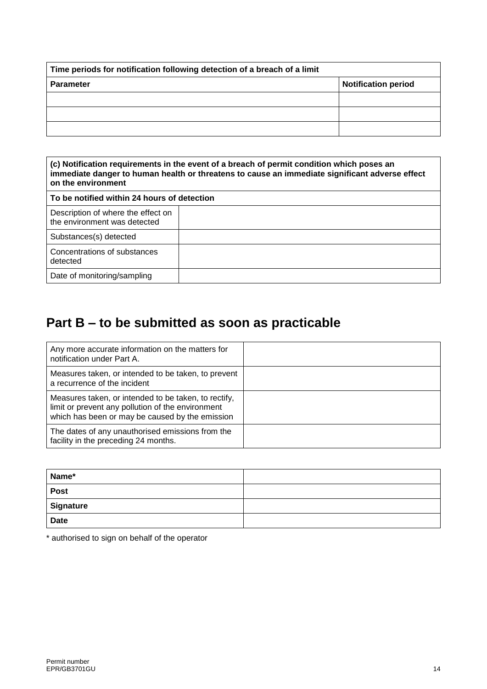| Time periods for notification following detection of a breach of a limit |                            |  |
|--------------------------------------------------------------------------|----------------------------|--|
| <b>Parameter</b>                                                         | <b>Notification period</b> |  |
|                                                                          |                            |  |
|                                                                          |                            |  |
|                                                                          |                            |  |

| (c) Notification requirements in the event of a breach of permit condition which poses an<br>immediate danger to human health or threatens to cause an immediate significant adverse effect<br>on the environment |  |  |
|-------------------------------------------------------------------------------------------------------------------------------------------------------------------------------------------------------------------|--|--|
| To be notified within 24 hours of detection                                                                                                                                                                       |  |  |
| Description of where the effect on<br>the environment was detected                                                                                                                                                |  |  |
| Substances(s) detected                                                                                                                                                                                            |  |  |
| Concentrations of substances<br>detected                                                                                                                                                                          |  |  |
| Date of monitoring/sampling                                                                                                                                                                                       |  |  |

## **Part B – to be submitted as soon as practicable**

| Any more accurate information on the matters for<br>notification under Part A.                                                                               |  |
|--------------------------------------------------------------------------------------------------------------------------------------------------------------|--|
| Measures taken, or intended to be taken, to prevent<br>a recurrence of the incident                                                                          |  |
| Measures taken, or intended to be taken, to rectify,<br>limit or prevent any pollution of the environment<br>which has been or may be caused by the emission |  |
| The dates of any unauthorised emissions from the<br>facility in the preceding 24 months.                                                                     |  |

| Name*       |  |
|-------------|--|
| <b>Post</b> |  |
| Signature   |  |
| <b>Date</b> |  |

\* authorised to sign on behalf of the operator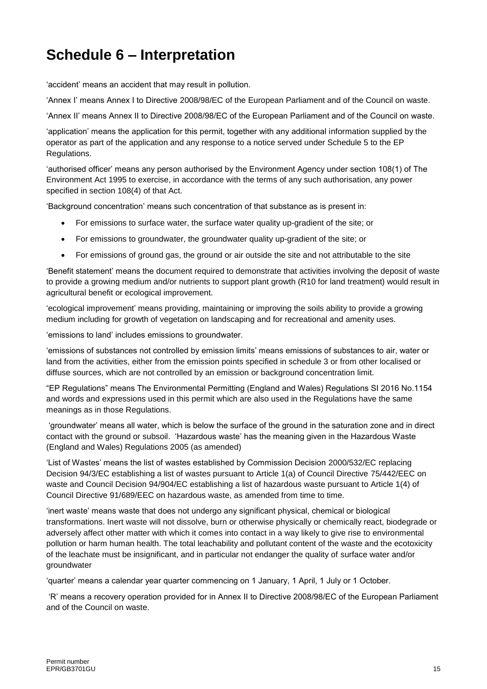## **Schedule 6 – Interpretation**

'accident' means an accident that may result in pollution.

'Annex I' means Annex I to Directive 2008/98/EC of the European Parliament and of the Council on waste.

'Annex II' means Annex II to Directive 2008/98/EC of the European Parliament and of the Council on waste.

'application' means the application for this permit, together with any additional information supplied by the operator as part of the application and any response to a notice served under Schedule 5 to the EP Regulations.

'authorised officer' means any person authorised by the Environment Agency under section 108(1) of The Environment Act 1995 to exercise, in accordance with the terms of any such authorisation, any power specified in section 108(4) of that Act.

'Background concentration' means such concentration of that substance as is present in:

- For emissions to surface water, the surface water quality up-gradient of the site; or
- For emissions to groundwater, the groundwater quality up-gradient of the site; or
- For emissions of ground gas, the ground or air outside the site and not attributable to the site

'Benefit statement' means the document required to demonstrate that activities involving the deposit of waste to provide a growing medium and/or nutrients to support plant growth (R10 for land treatment) would result in agricultural benefit or ecological improvement.

'ecological improvement' means providing, maintaining or improving the soils ability to provide a growing medium including for growth of vegetation on landscaping and for recreational and amenity uses.

'emissions to land' includes emissions to groundwater.

'emissions of substances not controlled by emission limits' means emissions of substances to air, water or land from the activities, either from the emission points specified in schedule 3 or from other localised or diffuse sources, which are not controlled by an emission or background concentration limit.

"EP Regulations" means The Environmental Permitting (England and Wales) Regulations SI 2016 No.1154 and words and expressions used in this permit which are also used in the Regulations have the same meanings as in those Regulations.

'groundwater' means all water, which is below the surface of the ground in the saturation zone and in direct contact with the ground or subsoil. 'Hazardous waste' has the meaning given in the Hazardous Waste (England and Wales) Regulations 2005 (as amended)

'List of Wastes' means the list of wastes established by Commission Decision [2000/532/EC](http://www.legislation.gov.uk/european/decision/2000/0532) replacing Decision [94/3/EC](http://www.legislation.gov.uk/european/decision/1994/0003) establishing a list of wastes pursuant to Article 1(a) of Council Directive [75/442/EEC](http://www.legislation.gov.uk/european/directive/1975/0442) on waste and Council Decision [94/904/EC](http://www.legislation.gov.uk/european/decision/1994/0904) establishing a list of hazardous waste pursuant to Article 1(4) of Council Directive [91/689/EEC](http://www.legislation.gov.uk/european/decision/1991/0689) on hazardous waste, as amended from time to time.

'inert waste' means waste that does not undergo any significant physical, chemical or biological transformations. Inert waste will not dissolve, burn or otherwise physically or chemically react, biodegrade or adversely affect other matter with which it comes into contact in a way likely to give rise to environmental pollution or harm human health. The total leachability and pollutant content of the waste and the ecotoxicity of the leachate must be insignificant, and in particular not endanger the quality of surface water and/or groundwater

'quarter' means a calendar year quarter commencing on 1 January, 1 April, 1 July or 1 October.

'R' means a recovery operation provided for in Annex II to Directive 2008/98/EC of the European Parliament and of the Council on waste.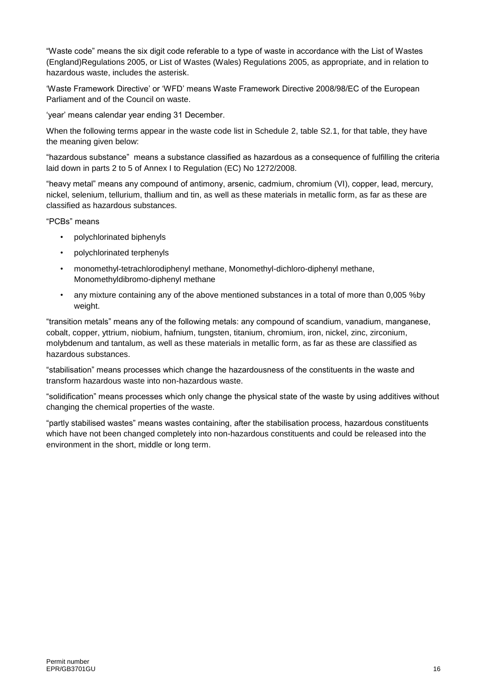"Waste code" means the six digit code referable to a type of waste in accordance with the List of Wastes (England)Regulations 2005, or List of Wastes (Wales) Regulations 2005, as appropriate, and in relation to hazardous waste, includes the asterisk.

'Waste Framework Directive' or 'WFD' means Waste Framework Directive 2008/98/EC of the European Parliament and of the Council on waste.

'year' means calendar year ending 31 December.

When the following terms appear in the waste code list in Schedule 2, table S2.1, for that table, they have the meaning given below:

"hazardous substance" means a substance classified as hazardous as a consequence of fulfilling the criteria laid down in parts 2 to 5 of Annex I to Regulation (EC) No 1272/2008.

"heavy metal" means any compound of antimony, arsenic, cadmium, chromium (VI), copper, lead, mercury, nickel, selenium, tellurium, thallium and tin, as well as these materials in metallic form, as far as these are classified as hazardous substances.

"PCBs" means

- polychlorinated biphenyls
- polychlorinated terphenyls
- monomethyl-tetrachlorodiphenyl methane, Monomethyl-dichloro-diphenyl methane, Monomethyldibromo-diphenyl methane
- any mixture containing any of the above mentioned substances in a total of more than 0,005 %by weight.

"transition metals" means any of the following metals: any compound of scandium, vanadium, manganese, cobalt, copper, yttrium, niobium, hafnium, tungsten, titanium, chromium, iron, nickel, zinc, zirconium, molybdenum and tantalum, as well as these materials in metallic form, as far as these are classified as hazardous substances.

"stabilisation" means processes which change the hazardousness of the constituents in the waste and transform hazardous waste into non-hazardous waste.

"solidification" means processes which only change the physical state of the waste by using additives without changing the chemical properties of the waste.

"partly stabilised wastes" means wastes containing, after the stabilisation process, hazardous constituents which have not been changed completely into non-hazardous constituents and could be released into the environment in the short, middle or long term.